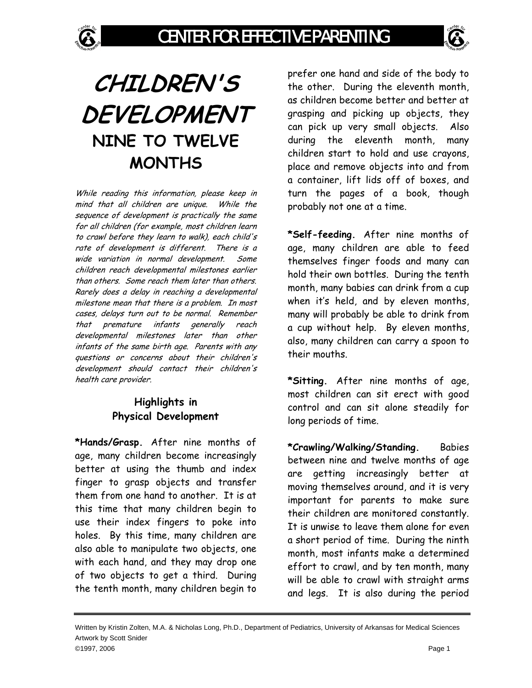

While reading this information, please keep in mind that all children are unique. While the sequence of development is practically the same for all children (for example, most children learn to crawl before they learn to walk), each child's rate of development is different. There is a wide variation in normal development. Some children reach developmental milestones earlier than others. Some reach them later than others. Rarely does a delay in reaching a developmental milestone mean that there is a problem. In most cases, delays turn out to be normal. Remember that premature infants generally reach developmental milestones later than other infants of the same birth age. Parents with any questions or concerns about their children's development should contact their children's health care provider.

## **Highlights in Physical Development**

**\*Hands/Grasp.** After nine months of age, many children become increasingly better at using the thumb and index finger to grasp objects and transfer them from one hand to another. It is at this time that many children begin to use their index fingers to poke into holes. By this time, many children are also able to manipulate two objects, one with each hand, and they may drop one of two objects to get a third. During the tenth month, many children begin to

prefer one hand and side of the body to the other. During the eleventh month, as children become better and better at grasping and picking up objects, they can pick up very small objects. Also during the eleventh month, many children start to hold and use crayons, place and remove objects into and from a container, lift lids off of boxes, and turn the pages of a book, though probably not one at a time.

**\*Self-feeding.** After nine months of age, many children are able to feed themselves finger foods and many can hold their own bottles. During the tenth month, many babies can drink from a cup when it's held, and by eleven months, many will probably be able to drink from a cup without help. By eleven months, also, many children can carry a spoon to their mouths.

**\*Sitting.** After nine months of age, most children can sit erect with good control and can sit alone steadily for long periods of time.

**\*Crawling/Walking/Standing.** Babies between nine and twelve months of age are getting increasingly better at moving themselves around, and it is very important for parents to make sure their children are monitored constantly. It is unwise to leave them alone for even a short period of time. During the ninth month, most infants make a determined effort to crawl, and by ten month, many will be able to crawl with straight arms and legs. It is also during the period

Written by Kristin Zolten, M.A. & Nicholas Long, Ph.D., Department of Pediatrics, University of Arkansas for Medical Sciences Artwork by Scott Snider ©1997, 2006 Page 1